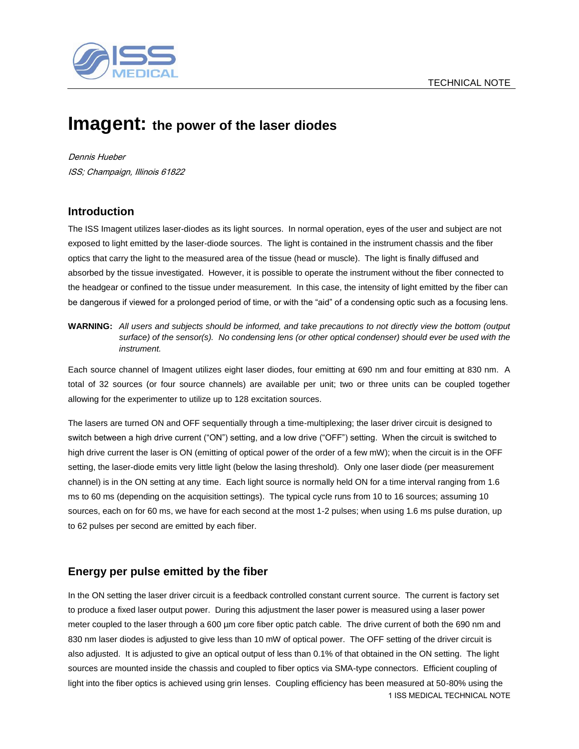

# **Imagent: the power of the laser diodes**

Dennis Hueber ISS; Champaign, Illinois 61822

## **Introduction**

The ISS Imagent utilizes laser-diodes as its light sources. In normal operation, eyes of the user and subject are not exposed to light emitted by the laser-diode sources. The light is contained in the instrument chassis and the fiber optics that carry the light to the measured area of the tissue (head or muscle). The light is finally diffused and absorbed by the tissue investigated. However, it is possible to operate the instrument without the fiber connected to the headgear or confined to the tissue under measurement. In this case, the intensity of light emitted by the fiber can be dangerous if viewed for a prolonged period of time, or with the "aid" of a condensing optic such as a focusing lens.

**WARNING:** *All users and subjects should be informed, and take precautions to not directly view the bottom (output surface) of the sensor(s). No condensing lens (or other optical condenser) should ever be used with the instrument.* 

Each source channel of Imagent utilizes eight laser diodes, four emitting at 690 nm and four emitting at 830 nm. A total of 32 sources (or four source channels) are available per unit; two or three units can be coupled together allowing for the experimenter to utilize up to 128 excitation sources.

The lasers are turned ON and OFF sequentially through a time-multiplexing; the laser driver circuit is designed to switch between a high drive current ("ON") setting, and a low drive ("OFF") setting. When the circuit is switched to high drive current the laser is ON (emitting of optical power of the order of a few mW); when the circuit is in the OFF setting, the laser-diode emits very little light (below the lasing threshold). Only one laser diode (per measurement channel) is in the ON setting at any time. Each light source is normally held ON for a time interval ranging from 1.6 ms to 60 ms (depending on the acquisition settings). The typical cycle runs from 10 to 16 sources; assuming 10 sources, each on for 60 ms, we have for each second at the most 1-2 pulses; when using 1.6 ms pulse duration, up to 62 pulses per second are emitted by each fiber.

## **Energy per pulse emitted by the fiber**

1 ISS MEDICAL TECHNICAL NOTE In the ON setting the laser driver circuit is a feedback controlled constant current source. The current is factory set to produce a fixed laser output power. During this adjustment the laser power is measured using a laser power meter coupled to the laser through a 600 µm core fiber optic patch cable. The drive current of both the 690 nm and 830 nm laser diodes is adjusted to give less than 10 mW of optical power. The OFF setting of the driver circuit is also adjusted. It is adjusted to give an optical output of less than 0.1% of that obtained in the ON setting. The light sources are mounted inside the chassis and coupled to fiber optics via SMA-type connectors. Efficient coupling of light into the fiber optics is achieved using grin lenses. Coupling efficiency has been measured at 50-80% using the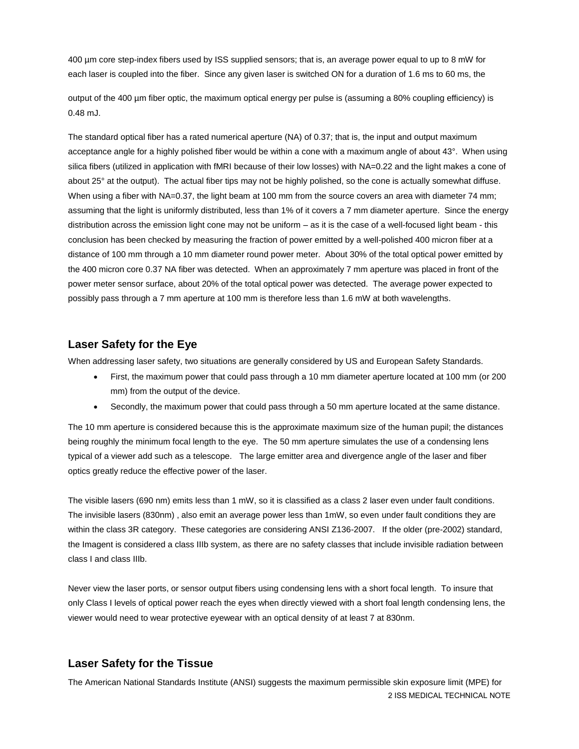400 µm core step-index fibers used by ISS supplied sensors; that is, an average power equal to up to 8 mW for each laser is coupled into the fiber. Since any given laser is switched ON for a duration of 1.6 ms to 60 ms, the

output of the 400 µm fiber optic, the maximum optical energy per pulse is (assuming a 80% coupling efficiency) is 0.48 mJ.

The standard optical fiber has a rated numerical aperture (NA) of 0.37; that is, the input and output maximum acceptance angle for a highly polished fiber would be within a cone with a maximum angle of about 43°. When using silica fibers (utilized in application with fMRI because of their low losses) with NA=0.22 and the light makes a cone of about 25° at the output). The actual fiber tips may not be highly polished, so the cone is actually somewhat diffuse. When using a fiber with NA=0.37, the light beam at 100 mm from the source covers an area with diameter 74 mm; assuming that the light is uniformly distributed, less than 1% of it covers a 7 mm diameter aperture. Since the energy distribution across the emission light cone may not be uniform – as it is the case of a well-focused light beam - this conclusion has been checked by measuring the fraction of power emitted by a well-polished 400 micron fiber at a distance of 100 mm through a 10 mm diameter round power meter. About 30% of the total optical power emitted by the 400 micron core 0.37 NA fiber was detected. When an approximately 7 mm aperture was placed in front of the power meter sensor surface, about 20% of the total optical power was detected. The average power expected to possibly pass through a 7 mm aperture at 100 mm is therefore less than 1.6 mW at both wavelengths.

### **Laser Safety for the Eye**

When addressing laser safety, two situations are generally considered by US and European Safety Standards.

- First, the maximum power that could pass through a 10 mm diameter aperture located at 100 mm (or 200 mm) from the output of the device.
- Secondly, the maximum power that could pass through a 50 mm aperture located at the same distance.

The 10 mm aperture is considered because this is the approximate maximum size of the human pupil; the distances being roughly the minimum focal length to the eye. The 50 mm aperture simulates the use of a condensing lens typical of a viewer add such as a telescope. The large emitter area and divergence angle of the laser and fiber optics greatly reduce the effective power of the laser.

The visible lasers (690 nm) emits less than 1 mW, so it is classified as a class 2 laser even under fault conditions. The invisible lasers (830nm) , also emit an average power less than 1mW, so even under fault conditions they are within the class 3R category. These categories are considering ANSI Z136-2007. If the older (pre-2002) standard, the Imagent is considered a class IIIb system, as there are no safety classes that include invisible radiation between class I and class IIIb.

Never view the laser ports, or sensor output fibers using condensing lens with a short focal length. To insure that only Class I levels of optical power reach the eyes when directly viewed with a short foal length condensing lens, the viewer would need to wear protective eyewear with an optical density of at least 7 at 830nm.

### **Laser Safety for the Tissue**

2 ISS MEDICAL TECHNICAL NOTE The American National Standards Institute (ANSI) suggests the maximum permissible skin exposure limit (MPE) for